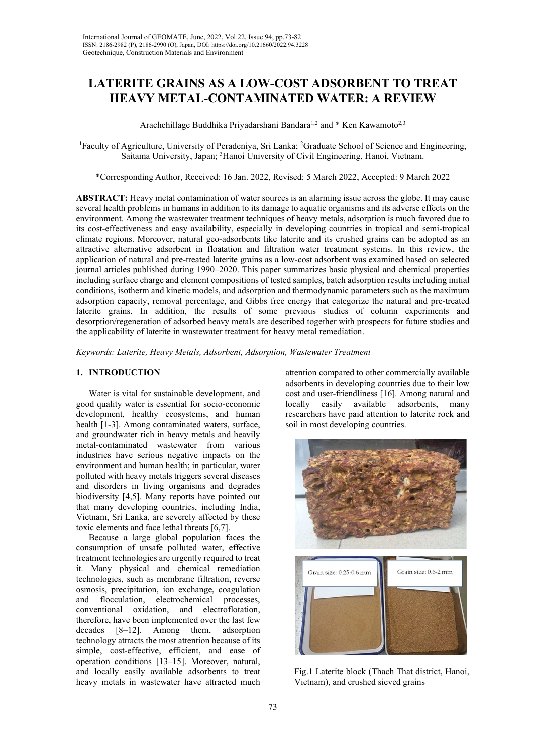# LATERITE GRAINS AS A LOW-COST ADSORBENT TO TREAT HEAVY METAL-CONTAMINATED WATER: A REVIEW

Arachchillage Buddhika Priyadarshani Bandara<sup>1,2</sup> and  $*$  Ken Kawamoto<sup>2,3</sup>

<sup>1</sup>Faculty of Agriculture, University of Peradeniya, Sri Lanka; <sup>2</sup>Graduate School of Science and Engineering, Saitama University, Japan; <sup>3</sup>Hanoi University of Civil Engineering, Hanoi, Vietnam.

\*Corresponding Author, Received: 16 Jan. 2022, Revised: 5 March 2022, Accepted: 9 March 2022

ABSTRACT: Heavy metal contamination of water sources is an alarming issue across the globe. It may cause several health problems in humans in addition to its damage to aquatic organisms and its adverse effects on the environment. Among the wastewater treatment techniques of heavy metals, adsorption is much favored due to its cost-effectiveness and easy availability, especially in developing countries in tropical and semi-tropical climate regions. Moreover, natural geo-adsorbents like laterite and its crushed grains can be adopted as an attractive alternative adsorbent in floatation and filtration water treatment systems. In this review, the application of natural and pre-treated laterite grains as a low-cost adsorbent was examined based on selected journal articles published during 1990–2020. This paper summarizes basic physical and chemical properties including surface charge and element compositions of tested samples, batch adsorption results including initial conditions, isotherm and kinetic models, and adsorption and thermodynamic parameters such as the maximum adsorption capacity, removal percentage, and Gibbs free energy that categorize the natural and pre-treated laterite grains. In addition, the results of some previous studies of column experiments and desorption/regeneration of adsorbed heavy metals are described together with prospects for future studies and the applicability of laterite in wastewater treatment for heavy metal remediation.

Keywords: Laterite, Heavy Metals, Adsorbent, Adsorption, Wastewater Treatment

## 1. INTRODUCTION

Water is vital for sustainable development, and good quality water is essential for socio-economic development, healthy ecosystems, and human health [1-3]. Among contaminated waters, surface, and groundwater rich in heavy metals and heavily metal-contaminated wastewater from various industries have serious negative impacts on the environment and human health; in particular, water polluted with heavy metals triggers several diseases and disorders in living organisms and degrades biodiversity [4,5]. Many reports have pointed out that many developing countries, including India, Vietnam, Sri Lanka, are severely affected by these toxic elements and face lethal threats [6,7].

Because a large global population faces the consumption of unsafe polluted water, effective treatment technologies are urgently required to treat it. Many physical and chemical remediation technologies, such as membrane filtration, reverse osmosis, precipitation, ion exchange, coagulation and flocculation, electrochemical processes, conventional oxidation, and electroflotation, therefore, have been implemented over the last few decades [8–12]. Among them, adsorption technology attracts the most attention because of its simple, cost-effective, efficient, and ease of operation conditions [13–15]. Moreover, natural, and locally easily available adsorbents to treat heavy metals in wastewater have attracted much

attention compared to other commercially available adsorbents in developing countries due to their low cost and user-friendliness [16]. Among natural and locally easily available adsorbents, many researchers have paid attention to laterite rock and soil in most developing countries.



Fig.1 Laterite block (Thach That district, Hanoi, Vietnam), and crushed sieved grains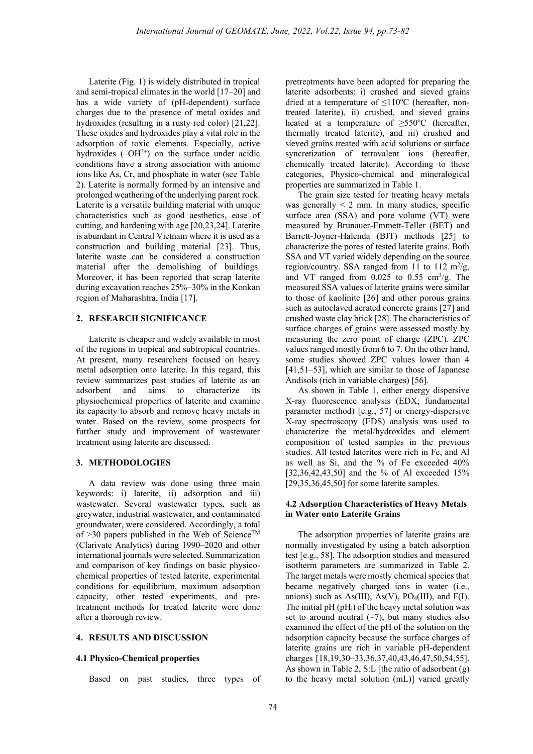Laterite (Fig. 1) is widely distributed in tropical and semi-tropical climates in the world [17–20] and has a wide variety of (pH-dependent) surface charges due to the presence of metal oxides and hydroxides (resulting in a rusty red color) [21,22]. These oxides and hydroxides play a vital role in the adsorption of toxic elements. Especially, active hydroxides  $(-OH<sup>2+</sup>)$  on the surface under acidic conditions have a strong association with anionic ions like As, Cr, and phosphate in water (see Table 2). Laterite is normally formed by an intensive and prolonged weathering of the underlying parent rock. Laterite is a versatile building material with unique characteristics such as good aesthetics, ease of cutting, and hardening with age [20,23,24]. Laterite is abundant in Central Vietnam where it is used as a construction and building material [23]. Thus, laterite waste can be considered a construction material after the demolishing of buildings. Moreover, it has been reported that scrap laterite during excavation reaches 25%–30% in the Konkan region of Maharashtra, India [17].

### 2. RESEARCH SIGNIFICANCE

Laterite is cheaper and widely available in most of the regions in tropical and subtropical countries. At present, many researchers focused on heavy metal adsorption onto laterite. In this regard, this review summarizes past studies of laterite as an adsorbent and aims to characterize its physiochemical properties of laterite and examine its capacity to absorb and remove heavy metals in water. Based on the review, some prospects for further study and improvement of wastewater treatment using laterite are discussed.

### 3. METHODOLOGIES

A data review was done using three main keywords: i) laterite, ii) adsorption and iii) wastewater. Several wastewater types, such as greywater, industrial wastewater, and contaminated groundwater, were considered. Accordingly, a total of  $>30$  papers published in the Web of Science<sup>TM</sup> (Clarivate Analytics) during 1990–2020 and other international journals were selected. Summarization and comparison of key findings on basic physicochemical properties of tested laterite, experimental conditions for equilibrium, maximum adsorption capacity, other tested experiments, and pretreatment methods for treated laterite were done after a thorough review.

#### 4. RESULTS AND DISCUSSION

#### 4.1 Physico-Chemical properties

Based on past studies, three types of

pretreatments have been adopted for preparing the laterite adsorbents: i) crushed and sieved grains dried at a temperature of  $\leq$ 110°C (hereafter, nontreated laterite), ii) crushed, and sieved grains heated at a temperature of  $\geq 550^{\circ}$ C (hereafter, thermally treated laterite), and iii) crushed and sieved grains treated with acid solutions or surface syncretization of tetravalent ions (hereafter, chemically treated laterite). According to these categories, Physico-chemical and mineralogical properties are summarized in Table 1.

The grain size tested for treating heavy metals was generally  $\leq 2$  mm. In many studies, specific surface area (SSA) and pore volume (VT) were measured by Brunauer-Emmett-Teller (BET) and Barrett-Joyner-Halenda (BJT) methods [25] to characterize the pores of tested laterite grains. Both SSA and VT varied widely depending on the source region/country. SSA ranged from 11 to 112  $\mathrm{m}^2/\mathrm{g}$ , and VT ranged from  $0.025$  to  $0.55$  cm<sup>3</sup>/g. The measured SSA values of laterite grains were similar to those of kaolinite [26] and other porous grains such as autoclaved aerated concrete grains [27] and crushed waste clay brick [28]. The characteristics of surface charges of grains were assessed mostly by measuring the zero point of charge (ZPC). ZPC values ranged mostly from 6 to 7. On the other hand, some studies showed ZPC values lower than 4 [41,51–53], which are similar to those of Japanese Andisols (rich in variable charges) [56].

As shown in Table 1, either energy dispersive X-ray fluorescence analysis (EDX; fundamental parameter method) [e.g., 57] or energy-dispersive X-ray spectroscopy (EDS) analysis was used to characterize the metal/hydroxides and element composition of tested samples in the previous studies. All tested laterites were rich in Fe, and Al as well as Si, and the % of Fe exceeded 40% [32,36,42,43,50] and the % of Al exceeded 15%  $[29,35,36,45,50]$  for some laterite samples.

### 4.2 Adsorption Characteristics of Heavy Metals in Water onto Laterite Grains

The adsorption properties of laterite grains are normally investigated by using a batch adsorption test [e.g., 58]. The adsorption studies and measured isotherm parameters are summarized in Table 2. The target metals were mostly chemical species that became negatively charged ions in water (i.e., anions) such as  $As(III)$ ,  $As(V)$ ,  $PO<sub>4</sub>(III)$ , and  $F(I)$ . The initial  $pH(pH_i)$  of the heavy metal solution was set to around neutral  $(-7)$ , but many studies also examined the effect of the pH of the solution on the adsorption capacity because the surface charges of laterite grains are rich in variable pH-dependent charges [18,19,30–33,36,37,40,43,46,47,50,54,55]. As shown in Table 2, S:L [the ratio of adsorbent  $(g)$ ] to the heavy metal solution (mL)] varied greatly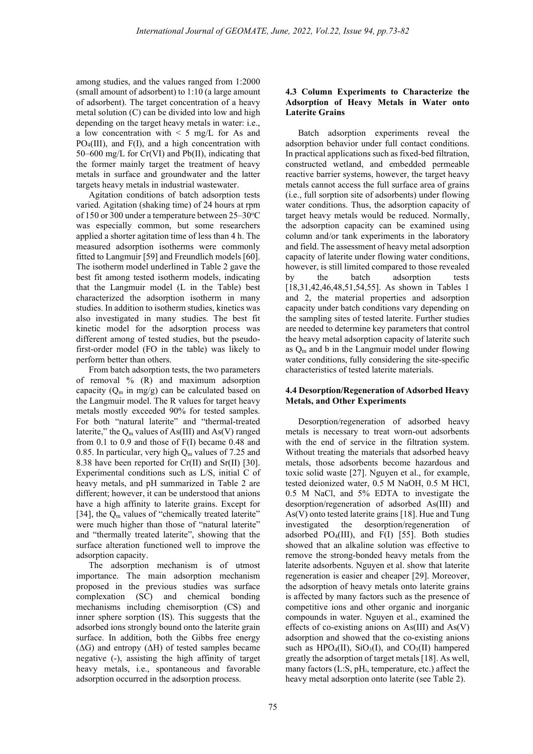among studies, and the values ranged from 1:2000 (small amount of adsorbent) to 1:10 (a large amount of adsorbent). The target concentration of a heavy metal solution (C) can be divided into low and high depending on the target heavy metals in water: i.e., a low concentration with  $\leq 5$  mg/L for As and PO4(III), and F(I), and a high concentration with 50–600 mg/L for Cr(VI) and Pb(II), indicating that the former mainly target the treatment of heavy metals in surface and groundwater and the latter targets heavy metals in industrial wastewater.

Agitation conditions of batch adsorption tests varied. Agitation (shaking time) of 24 hours at rpm of 150 or 300 under a temperature between  $25-30$ <sup>o</sup>C was especially common, but some researchers applied a shorter agitation time of less than 4 h. The measured adsorption isotherms were commonly fitted to Langmuir [59] and Freundlich models [60]. The isotherm model underlined in Table 2 gave the best fit among tested isotherm models, indicating that the Langmuir model (L in the Table) best characterized the adsorption isotherm in many studies. In addition to isotherm studies, kinetics was also investigated in many studies. The best fit kinetic model for the adsorption process was different among of tested studies, but the pseudofirst-order model (FO in the table) was likely to perform better than others.

From batch adsorption tests, the two parameters of removal % (R) and maximum adsorption capacity  $(Q_m \text{ in } mg/g)$  can be calculated based on the Langmuir model. The R values for target heavy metals mostly exceeded 90% for tested samples. For both "natural laterite" and "thermal-treated laterite," the  $Q_m$  values of As(III) and As(V) ranged from 0.1 to 0.9 and those of F(I) became 0.48 and 0.85. In particular, very high  $Q_m$  values of 7.25 and 8.38 have been reported for Cr(II) and Sr(II) [30]. Experimental conditions such as L/S, initial C of heavy metals, and pH summarized in Table 2 are different; however, it can be understood that anions have a high affinity to laterite grains. Except for [34], the  $Q_m$  values of "chemically treated laterite" were much higher than those of "natural laterite" and "thermally treated laterite", showing that the surface alteration functioned well to improve the adsorption capacity.

The adsorption mechanism is of utmost importance. The main adsorption mechanism proposed in the previous studies was surface complexation (SC) and chemical bonding mechanisms including chemisorption (CS) and inner sphere sorption (IS). This suggests that the adsorbed ions strongly bound onto the laterite grain surface. In addition, both the Gibbs free energy  $(\Delta G)$  and entropy  $(\Delta H)$  of tested samples became negative (-), assisting the high affinity of target heavy metals, i.e., spontaneous and favorable adsorption occurred in the adsorption process.

# 4.3 Column Experiments to Characterize the Adsorption of Heavy Metals in Water onto Laterite Grains

Batch adsorption experiments reveal the adsorption behavior under full contact conditions. In practical applications such as fixed-bed filtration, constructed wetland, and embedded permeable reactive barrier systems, however, the target heavy metals cannot access the full surface area of grains (i.e., full sorption site of adsorbents) under flowing water conditions. Thus, the adsorption capacity of target heavy metals would be reduced. Normally, the adsorption capacity can be examined using column and/or tank experiments in the laboratory and field. The assessment of heavy metal adsorption capacity of laterite under flowing water conditions, however, is still limited compared to those revealed by the batch adsorption tests [18,31,42,46,48,51,54,55]. As shown in Tables 1 and 2, the material properties and adsorption capacity under batch conditions vary depending on the sampling sites of tested laterite. Further studies are needed to determine key parameters that control the heavy metal adsorption capacity of laterite such as  $Q_m$  and b in the Langmuir model under flowing water conditions, fully considering the site-specific characteristics of tested laterite materials.

## 4.4 Desorption/Regeneration of Adsorbed Heavy Metals, and Other Experiments

Desorption/regeneration of adsorbed heavy metals is necessary to treat worn-out adsorbents with the end of service in the filtration system. Without treating the materials that adsorbed heavy metals, those adsorbents become hazardous and toxic solid waste [27]. Nguyen et al., for example, tested deionized water, 0.5 M NaOH, 0.5 M HCl, 0.5 M NaCl, and 5% EDTA to investigate the desorption/regeneration of adsorbed As(III) and As(V) onto tested laterite grains [18]. Hue and Tung investigated the desorption/regeneration of adsorbed PO<sub>4</sub>(III), and F(I) [55]. Both studies showed that an alkaline solution was effective to remove the strong-bonded heavy metals from the laterite adsorbents. Nguyen et al. show that laterite regeneration is easier and cheaper [29]. Moreover, the adsorption of heavy metals onto laterite grains is affected by many factors such as the presence of competitive ions and other organic and inorganic compounds in water. Nguyen et al., examined the effects of co-existing anions on As(III) and As(V) adsorption and showed that the co-existing anions such as  $HPO_4(II)$ ,  $SiO_3(I)$ , and  $CO_3(II)$  hampered greatly the adsorption of target metals [18]. As well, many factors  $(L: S, pH<sub>i</sub>, temperature, etc.)$  affect the heavy metal adsorption onto laterite (see Table 2).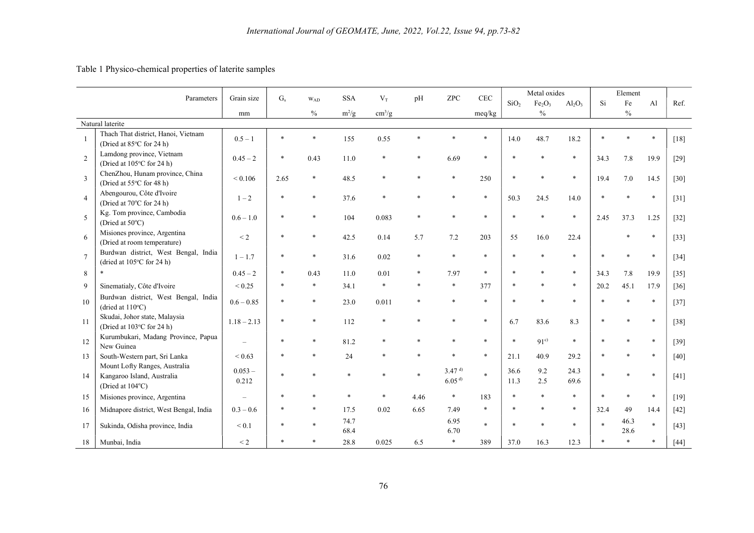# Table 1 Physico-chemical properties of laterite samples

| Parameters     |                                                                                 | Grain size         | $G_s$   | WAD           | <b>SSA</b>   | $V_T$                  | pH   | <b>ZPC</b>                             | CEC     |                  | Metal oxides                   |              |        | Element       |                |        |
|----------------|---------------------------------------------------------------------------------|--------------------|---------|---------------|--------------|------------------------|------|----------------------------------------|---------|------------------|--------------------------------|--------------|--------|---------------|----------------|--------|
|                |                                                                                 |                    |         |               |              |                        |      |                                        |         | SiO <sub>2</sub> | Fe <sub>2</sub> O <sub>3</sub> | $Al_2O_3$    | Si     | Fe            | A <sub>1</sub> | Ref.   |
|                |                                                                                 | mm                 |         | $\frac{0}{0}$ | $m^2/g$      | $\text{cm}^3/\text{g}$ |      |                                        | meq/kg  |                  | $\frac{0}{0}$                  |              |        | $\frac{0}{0}$ |                |        |
|                | Natural laterite                                                                |                    |         |               |              |                        |      |                                        |         |                  |                                |              |        |               |                |        |
|                | Thach That district, Hanoi, Vietnam<br>(Dried at 85°C for 24 h)                 | $0.5 - 1$          | $\star$ |               | 155          | 0.55                   |      |                                        | $\star$ | 14.0             | 48.7                           | 18.2         | $\ast$ |               | $\ast$         | $[18]$ |
| 2              | Lamdong province, Vietnam<br>(Dried at 105°C for 24 h)                          | $0.45 - 2$         | $\ast$  | 0.43          | 11.0         | $\ast$                 |      | 6.69                                   | $\star$ |                  |                                | $\ast$       | 34.3   | 7.8           | 19.9           | $[29]$ |
| $\overline{3}$ | ChenZhou, Hunam province, China<br>(Dried at 55°C for 48 h)                     | ${}_{0.106}$       | 2.65    |               | 48.5         |                        |      |                                        | 250     |                  |                                | $\ast$       | 19.4   | 7.0           | 14.5           | $[30]$ |
| $\overline{4}$ | Abengourou, Côte d'Ivoire<br>(Dried at 70°C for 24 h)                           | $1 - 2$            |         |               | 37.6         |                        |      |                                        | $\ast$  | 50.3             | 24.5                           | 14.0         |        |               | $\ast$         | $[31]$ |
| 5              | Kg. Tom province, Cambodia<br>(Dried at 50°C)                                   | $0.6 - 1.0$        |         |               | 104          | 0.083                  |      |                                        | $\ast$  |                  |                                | $\ast$       | 2.45   | 37.3          | 1.25           | $[32]$ |
| 6              | Misiones province, Argentina<br>(Dried at room temperature)                     | $\leq$ 2           |         |               | 42.5         | 0.14                   | 5.7  | 7.2                                    | 203     | 55               | 16.0                           | 22.4         |        |               | $\ast$         | $[33]$ |
| $\overline{7}$ | Burdwan district, West Bengal, India<br>(dried at 105°C for 24 h)               | $1 - 1.7$          |         |               | 31.6         | 0.02                   |      |                                        | $\ast$  |                  |                                | $\ast$       |        |               | $\ast$         | $[34]$ |
| 8              | $\ast$                                                                          | $0.45 - 2$         |         | 0.43          | 11.0         | 0.01                   |      | 7.97                                   | $\ast$  |                  |                                | $\ast$       | 34.3   | 7.8           | 19.9           | $[35]$ |
| 9              | Sinematialy, Côte d'Ivoire                                                      | ${}< 0.25$         |         |               | 34.1         | $\ast$                 |      |                                        | 377     |                  |                                | $\ast$       | 20.2   | 45.1          | 17.9           | $[36]$ |
| 10             | Burdwan district, West Bengal, India<br>(dried at $110^{\circ}$ C)              | $0.6 - 0.85$       |         |               | 23.0         | 0.011                  |      |                                        |         |                  |                                | $\ast$       |        |               | $\ast$         | $[37]$ |
| 11             | Skudai, Johor state, Malaysia<br>(Dried at 103°C for 24 h)                      | $1.18 - 2.13$      |         |               | 112          |                        |      |                                        |         | 6.7              | 83.6                           | 8.3          |        |               | $\ast$         | $[38]$ |
| 12             | Kurumbukari, Madang Province, Papua<br>New Guinea                               |                    |         |               | 81.2         |                        |      |                                        |         |                  | 91 <sup>c</sup>                | $\ast$       |        |               | $\ast$         | $[39]$ |
| 13             | South-Western part, Sri Lanka                                                   | ${}< 0.63$         |         |               | 24           |                        |      |                                        |         | 21.1             | 40.9                           | 29.2         |        |               | $\ast$         | $[40]$ |
| 14             | Mount Lofty Ranges, Australia<br>Kangaroo Island, Australia<br>(Dried at 104°C) | $0.053 -$<br>0.212 |         |               |              |                        |      | 3.47 <sup>d</sup><br>6.05 <sup>d</sup> | $\ast$  | 36.6<br>11.3     | 9.2<br>2.5                     | 24.3<br>69.6 |        |               | $\ast$         | $[41]$ |
| 15             | Misiones province, Argentina                                                    |                    |         |               |              |                        | 4.46 | $\ast$                                 | 183     |                  |                                | $\ast$       |        |               | $\ast$         | $[19]$ |
| 16             | Midnapore district, West Bengal, India                                          | $0.3 - 0.6$        |         |               | 17.5         | 0.02                   | 6.65 | 7.49                                   | $\ast$  |                  |                                | $\ast$       | 32.4   | 49            | 14.4           | $[42]$ |
| 17             | Sukinda, Odisha province, India                                                 | $\leq 0.1$         |         |               | 74.7<br>68.4 |                        |      | 6.95<br>6.70                           | $\star$ |                  |                                | $\ast$       |        | 46.3<br>28.6  | $\ast$         | $[43]$ |
| 18             | Munbai, India                                                                   | $\leq$ 2           |         |               | 28.8         | 0.025                  | 6.5  |                                        | 389     | 37.0             | 16.3                           | 12.3         |        |               | $\ast$         | $[44]$ |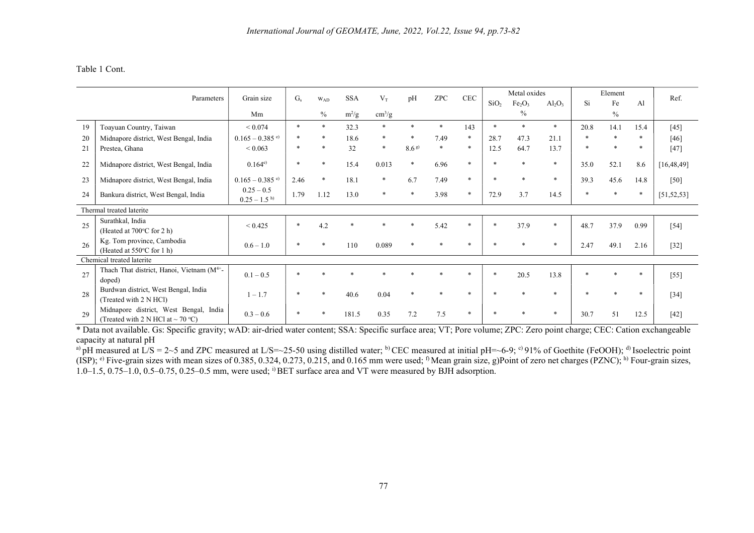# Table 1 Cont.

| Parameters |                                                                                    | Grain size                    | $G_{s}$ | <b>WAD</b> | <b>SSA</b> | $V_T$                  | pH               | <b>ZPC</b> | <b>CEC</b>   | Metal oxides     |                                |              | Element      |      |        | Ref.         |
|------------|------------------------------------------------------------------------------------|-------------------------------|---------|------------|------------|------------------------|------------------|------------|--------------|------------------|--------------------------------|--------------|--------------|------|--------|--------------|
|            |                                                                                    |                               |         |            |            |                        |                  |            |              | SiO <sub>2</sub> | Fe <sub>2</sub> O <sub>3</sub> | $Al_2O_3$    | Si           | Fe   | Al     |              |
|            |                                                                                    | Mm                            |         | $\%$       | $m^2/g$    | $\text{cm}^3/\text{g}$ |                  |            |              |                  | $\%$                           |              |              | $\%$ |        |              |
| 19         | Toayuan Country, Taiwan                                                            | ${}< 0.074$                   | $\ast$  | $\ast$     | 32.3       | $*$                    | $\ast$           | $\ast$     | 143          | $\ast$           | $\ast$                         | $\mathbf{x}$ | 20.8         | 14.1 | 15.4   | [45]         |
| 20         | Midnapore district, West Bengal, India                                             | $0.165 - 0.385$ <sup>e)</sup> |         |            | 18.6       | $\ast$                 |                  | 7.49       | $\ast$       | 28.7             | 47.3                           | 21.1         | $\ast$       |      |        | [46]         |
| 21         | Prestea, Ghana                                                                     | ${}_{0.063}$                  | $\ast$  | $\ast$     | 32         | $\ast$                 | 8.6 <sup>g</sup> | $\ast$     | $\ast$       | 12.5             | 64.7                           | 13.7         | $\ast$       |      | $\ast$ | $[47]$       |
| 22         | Midnapore district, West Bengal, India                                             | $0.164^{e}$                   | $\ast$  | $\ast$     | 15.4       | 0.013                  | $\ast$           | 6.96       | $\ast$       | $\ast$           |                                | $\ast$       | 35.0         | 52.1 | 8.6    | [16, 48, 49] |
| 23         | Midnapore district, West Bengal, India                                             | $0.165 - 0.385$ <sup>e)</sup> | 2.46    | $\ast$     | 18.1       | $\ast$                 | 6.7              | 7.49       | $\ast$       | $\ast$           | $\star$                        | $\ast$       | 39.3         | 45.6 | 14.8   | $[50]$       |
| 24         | $0.25 - 0.5$<br>Bankura district, West Bengal, India<br>$0.25 - 1.5$ <sup>h)</sup> |                               | 1.79    | 1.12       | 13.0       | *                      | $\ast$           | 3.98       | $\ast$       | 72.9             | 3.7                            | 14.5         | $\ast$       |      | $\ast$ | [51, 52, 53] |
|            | Thermal treated laterite                                                           |                               |         |            |            |                        |                  |            |              |                  |                                |              |              |      |        |              |
| 25         | Surathkal, India<br>(Heated at 700°C for 2 h)                                      | ${}_{\leq 0.425}$             | $\ast$  | 4.2        |            |                        |                  | 5.42       | $\ast$       | $\ast$           | 37.9                           | $\ast$       | 48.7         | 37.9 | 0.99   | $[54]$       |
| 26         | Kg. Tom province, Cambodia<br>(Heated at 550°C for 1 h)                            | $0.6 - 1.0$                   | $\ast$  | *          | 110        | 0.089                  | $\ast$           |            |              |                  |                                | $\ast$       | 2.47         | 49.1 | 2.16   | $[32]$       |
|            | Chemical treated laterite                                                          |                               |         |            |            |                        |                  |            |              |                  |                                |              |              |      |        |              |
| 27         | Thach That district, Hanoi, Vietnam (M <sup>4+</sup> -<br>doped)                   | $0.1 - 0.5$                   | $\ast$  |            |            |                        |                  |            | $\mathbf{r}$ | $\ast$           | 20.5                           | 13.8         | $\mathbf{z}$ |      | $\ast$ | $[55]$       |
| 28         | Burdwan district, West Bengal, India<br>(Treated with 2 N HCl)                     | $1 - 1.7$                     | $\ast$  |            | 40.6       | 0.04                   | $\ast$           |            |              |                  |                                | $\star$      |              |      | $\ast$ | $[34]$       |
| 29         | Midnapore district, West Bengal, India<br>(Treated with 2 N HCl at $\sim$ 70 °C)   | $0.3 - 0.6$                   | $\ast$  |            | 181.5      | 0.35                   | 7.2              | 7.5        |              |                  |                                | $\ast$       | 30.7         | 51   | 12.5   | $[42]$       |

\* Data not available. Gs: Specific gravity; wAD: air-dried water content; SSA: Specific surface area; VT; Pore volume; ZPC: Zero point charge; CEC: Cation exchangeable capacity at natural pH

<sup>a)</sup> pH measured at L/S = 2~5 and ZPC measured at L/S=~25-50 using distilled water; <sup>b)</sup> CEC measured at initial pH=~6-9; <sup>c)</sup> 91% of Goethite (FeOOH); <sup>d)</sup> Isoelectric point (ISP); <sup>e)</sup> Five-grain sizes with mean sizes of 0.385, 0.324, 0.273, 0.215, and 0.165 mm were used; <sup>f)</sup> Mean grain size, g)Point of zero net charges (PZNC); <sup>h)</sup> Four-grain sizes, 1.0–1.5, 0.75–1.0, 0.5–0.75, 0.25–0.5 mm, were used; i) BET surface area and VT were measured by BJH adsorption.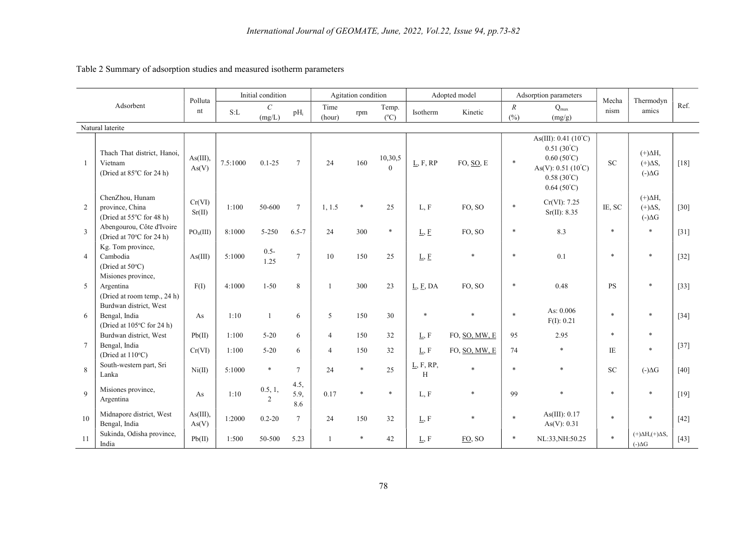| Adsorbent      |                                                                      | Polluta               | Initial condition |                         |                     | Agitation condition              |            |                        |                                    | Adopted model                  |                         | Adsorption parameters                                                                                                                                   | Mecha        | Thermodyn                                                              |        |
|----------------|----------------------------------------------------------------------|-----------------------|-------------------|-------------------------|---------------------|----------------------------------|------------|------------------------|------------------------------------|--------------------------------|-------------------------|---------------------------------------------------------------------------------------------------------------------------------------------------------|--------------|------------------------------------------------------------------------|--------|
|                |                                                                      | nt                    | S:L               | $\mathcal{C}$<br>(mg/L) | $pH_i$              | Time<br>(hour)                   | rpm        | Temp.<br>$(^{\circ}C)$ | Isotherm                           | Kinetic                        | $\boldsymbol{R}$<br>(%) | $Q_{max}$<br>(mg/g)                                                                                                                                     | nism         | amics                                                                  | Ref.   |
|                | Natural laterite                                                     |                       |                   |                         |                     |                                  |            |                        |                                    |                                |                         |                                                                                                                                                         |              |                                                                        |        |
| $\mathbf{1}$   | Thach That district, Hanoi,<br>Vietnam<br>(Dried at 85°C for 24 h)   | As(III),<br>As(V)     | 7.5:1000          | $0.1 - 25$              | $7\phantom{.0}$     | 24                               | 160        | 10,30,5<br>$\Omega$    | L, F, RP                           | FO, SO, E                      | $\ast$                  | As(III): $0.41(10^{\circ}C)$<br>$0.51(30^{\circ}C)$<br>$0.60(50^{\circ}C)$<br>$As(V): 0.51 (10^{\circ}C)$<br>$0.58(30^{\circ}C)$<br>$0.64(50^{\circ}C)$ | <b>SC</b>    | $(+)\Delta H,$<br>$(+)\Delta S,$<br>$(-)\Delta G$                      | $[18]$ |
| 2              | ChenZhou, Hunam<br>province, China<br>(Dried at 55°C for 48 h)       | Cr(VI)<br>Sr(II)      | 1:100             | 50-600                  | $7\phantom{.0}$     | 1, 1.5                           | $\ast$     | 25                     | L, F                               | FO, SO                         | $\ast$                  | Cr(VI): 7.25<br>Sr(II): 8.35                                                                                                                            | IE, SC       | $(+)\Delta H,$<br>$(+)\Delta S,$<br>$(-)\Delta G$                      | $[30]$ |
| 3              | Abengourou, Côte d'Ivoire<br>(Dried at 70°C for 24 h)                | PO <sub>4</sub> (III) | 8:1000            | $5 - 250$               | $6.5 - 7$           | 24                               | 300        | $\ast$                 | L, E                               | FO, SO                         | $\ast$                  | 8.3                                                                                                                                                     | $\ast$       | $\ast$                                                                 | $[31]$ |
| $\overline{4}$ | Kg. Tom province,<br>Cambodia<br>(Dried at 50°C)                     | As(III)               | 5:1000            | $0.5 -$<br>1.25         | $\overline{7}$      | 10                               | 150        | 25                     | L, E                               | $\ast$                         | $\ast$                  | 0.1                                                                                                                                                     | $\ast$       | $\ast$                                                                 | $[32]$ |
| 5              | Misiones province,<br>Argentina<br>(Dried at room temp., 24 h)       | F(I)                  | 4:1000            | $1 - 50$                | 8                   | 1                                | 300        | 23                     | $\underline{L}, \underline{F}, DA$ | FO, SO                         | $\ast$                  | 0.48                                                                                                                                                    | <b>PS</b>    |                                                                        | $[33]$ |
| 6              | Burdwan district, West<br>Bengal, India<br>(Dried at 105°C for 24 h) | As                    | 1:10              | 1                       | 6                   | 5                                | 150        | 30                     | $\ast$                             | $\ast$                         | $\ast$                  | As: 0.006<br>F(I): 0.21                                                                                                                                 | $\ast$       |                                                                        | $[34]$ |
| $\tau$         | Burdwan district, West<br>Bengal, India<br>(Dried at 110°C)          | Pb(II)<br>Cr(VI)      | 1:100<br>1:100    | $5 - 20$<br>$5 - 20$    | 6<br>6              | $\overline{4}$<br>$\overline{4}$ | 150<br>150 | 32<br>32               | L, F<br>L, F                       | FO, SO, MW, E<br>FO, SO, MW, E | 95<br>74                | 2.95<br>$\ast$                                                                                                                                          | $\ast$<br>IE | $\ast$                                                                 | $[37]$ |
| 8              | South-western part, Sri<br>Lanka                                     | Ni(II)                | 5:1000            | $\ast$                  | $7\phantom{.0}$     | 24                               | $\ast$     | 25                     | L, F, RP,<br>H                     | $\ast$                         | $\ast$                  | $\ast$                                                                                                                                                  | <b>SC</b>    | $(-)\Delta G$                                                          | $[40]$ |
| 9              | Misiones province,<br>Argentina                                      | As                    | 1:10              | 0.5, 1,<br>2            | 4.5,<br>5.9,<br>8.6 | 0.17                             | $\ast$     | $\ast$                 | L, F                               | $\ast$                         | 99                      | $\ast$                                                                                                                                                  | $\ast$       |                                                                        | $[19]$ |
| 10             | Midnapore district, West<br>Bengal, India                            | As(III),<br>As(V)     | 1:2000            | $0.2 - 20$              | $\overline{7}$      | 24                               | 150        | 32                     | L, F                               | $\ast$                         | $\ast$                  | As $(III)$ : 0.17<br>As(V): 0.31                                                                                                                        | $\ast$       |                                                                        | $[42]$ |
| 11             | Sukinda, Odisha province,<br>India                                   | Pb(II)                | 1:500             | 50-500                  | 5.23                | 1                                | $\ast$     | 42                     | L, F                               | FO, SO                         | $\ast$                  | NL:33, NH: 50.25                                                                                                                                        | $\ast$       | $(+)\Delta H$ <sub>1</sub> $(+)\Delta S$ <sub>2</sub><br>$(-)\Delta G$ | $[43]$ |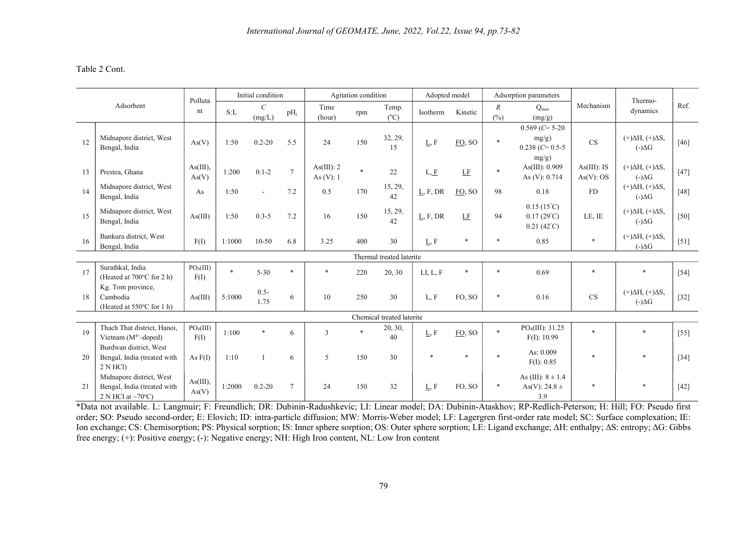# Table 2 Cont.

| Adsorbent |                                                                                               | Polluta                       |        | Initial condition |        | Agitation condition        |        |                           | Adopted model           |              |           | Adsorption parameters                                             |                          |                                              |        |
|-----------|-----------------------------------------------------------------------------------------------|-------------------------------|--------|-------------------|--------|----------------------------|--------|---------------------------|-------------------------|--------------|-----------|-------------------------------------------------------------------|--------------------------|----------------------------------------------|--------|
|           |                                                                                               | nt                            | S: L   | $\cal C$          | $pH_i$ | Time                       | rpm    | Temp.                     | Isotherm                | Kinetic      | $R_{\rm}$ | $Q_{\text{max}}$                                                  | Mechanism                | Thermo-<br>dynamics                          | Ref.   |
|           |                                                                                               |                               |        | (mg/L)            |        | (hour)                     |        | $(^{\circ}C)$             |                         |              | (%)       | (mg/g)                                                            |                          |                                              |        |
|           |                                                                                               |                               |        |                   |        |                            |        |                           |                         |              |           | $0.569$ (C= 5-20                                                  |                          |                                              |        |
| 12        | Midnapore district, West<br>Bengal, India                                                     | As(V)                         | 1:50   | $0.2 - 20$        | 5.5    | 24                         | 150    | 32, 29,<br>15             | $\underline{L},$ $F$    | FO, SO       | $\ast$    | mg/g)<br>$0.238$ (C= 0.5-5)                                       | <b>CS</b>                | $(+)\Delta H, (+)\Delta S,$<br>$(-)\Delta G$ | $[46]$ |
|           |                                                                                               |                               |        |                   |        |                            |        |                           |                         |              |           | mg/g)                                                             |                          |                                              |        |
| 13        | Prestea, Ghana                                                                                | As(III),<br>As(V)             | 1:200  | $0.1 - 2$         | $\tau$ | As(III): 2<br>As $(V)$ : 1 | $\ast$ | 22                        | L, E                    | $\rm LF$     | $\ast$    | As(III): 0.909<br>As (V): 0.714                                   | As(III): IS<br>As(V): OS | $(+)\Delta H, (+)\Delta S,$<br>$(-)\Delta G$ | $[47]$ |
| 14        | Midnapore district, West<br>Bengal, India                                                     | As                            | 1:50   | $\blacksquare$    | 7.2    | 0.5                        | 170    | 15, 29,<br>42             | $\underline{L}$ , F, DR | FO, SO       | 98        | 0.18                                                              | <b>FD</b>                | $(+)\Delta H, (+)\Delta S,$<br>$(-)\Delta G$ | $[48]$ |
| 15        | Midnapore district, West<br>Bengal, India                                                     | As(III)                       | 1:50   | $0.3 - 5$         | 7.2    | 16                         | 150    | 15, 29,<br>42             | $\underline{L}$ , F, DR | $\rm LF$     | 94        | $0.15(15^{\circ}C)$<br>$0.17(29^{\circ}C)$<br>$0.21(42^{\circ}C)$ | LE, IE                   | $(+)\Delta H, (+)\Delta S,$<br>$(-)\Delta G$ | $[50]$ |
| 16        | Bankura district, West<br>Bengal, India                                                       | F(I)                          | 1:1000 | $10-50$           | 6.8    | 3.25                       | 400    | 30                        | L, F                    | $*$          | $\ast$    | 0.85                                                              | $\ast$                   | $(+)\Delta H, (+)\Delta S,$<br>$(-)\Delta G$ | $[51]$ |
|           |                                                                                               |                               |        |                   |        |                            |        | Thermal treated laterite  |                         |              |           |                                                                   |                          |                                              |        |
| 17        | Surathkal, India<br>(Heated at 700°C for 2 h)                                                 | PO <sub>4</sub> (III)<br>F(I) | $\ast$ | $5 - 30$          | $*$    | $\ast$                     | 220    | 20, 30                    | LI, L, F                | $\ast$       | $\ast$    | 0.69                                                              | $\ast$                   | $\ast$                                       | $[54]$ |
| 18        | Kg. Tom province,<br>Cambodia<br>(Heated at 550°C for 1 h)                                    | As(III)                       | 5:1000 | $0.5 -$<br>1.75   | 6      | 10                         | 250    | 30                        | L, F                    | FO, SO       | $\ast$    | 0.16                                                              | CS                       | $(+)\Delta H, (+)\Delta S,$<br>$(-)\Delta G$ | $[32]$ |
|           |                                                                                               |                               |        |                   |        |                            |        | Chemical treated laterite |                         |              |           |                                                                   |                          |                                              |        |
| 19        | Thach That district, Hanoi,<br>Vietnam $(M^{4+}-doped)$                                       | PO <sub>4</sub> (III)<br>F(I) | 1:100  | $\ast$            | 6      | 3                          | $\ast$ | 20, 30,<br>40             | L, F                    | FO, SO       | $\ast$    | PO <sub>4</sub> (III): 31.25<br>F(I): 10.99                       | $\mathbf{r}$             | $\mathbf{x}$                                 | $[55]$ |
| 20        | Burdwan district, West<br>Bengal, India (treated with                                         | As $F(I)$                     | 1:10   | $\mathbf{1}$      | 6      | $\mathfrak{F}$             | 150    | 30                        | <b>sk</b>               | $\mathbf{r}$ |           | As: 0.009<br>F(I): 0.85                                           |                          |                                              | $[34]$ |
| 21        | 2 N HCl<br>Midnapore district, West<br>Bengal, India (treated with<br>2 N HCl at $\sim$ 70°C) | As(III),<br>As(V)             | 1:2000 | $0.2 - 20$        | 7      | 24                         | 150    | 32                        | L, F                    | FO, SO       | $\ast$    | As (III): $8 \pm 1.4$<br>As(V): 24.8 $\pm$<br>3.9                 | $\ast$                   |                                              | $[42]$ |

\*Data not available. L: Langmuir; F: Freundlich; DR: Dubinin-Radushkevic; LI: Linear model; DA: Dubinin-Ataskhov; RP-Redlich-Peterson; H: Hill; FO: Pseudo first order; SO: Pseudo second-order; E: Elovich; ID: intra-particle diffusion; MW: Morris-Weber model; LF: Lagergren first-order rate model; SC: Surface complexation; IE: Ion exchange; CS: Chemisorption; PS: Physical sorption; IS: Inner sphere sorption; OS: Outer sphere sorption; LE: Ligand exchange; ΔH: enthalpy; ΔS: entropy; ΔG: Gibbs free energy; (+): Positive energy; (-): Negative energy; NH: High Iron content, NL: Low Iron content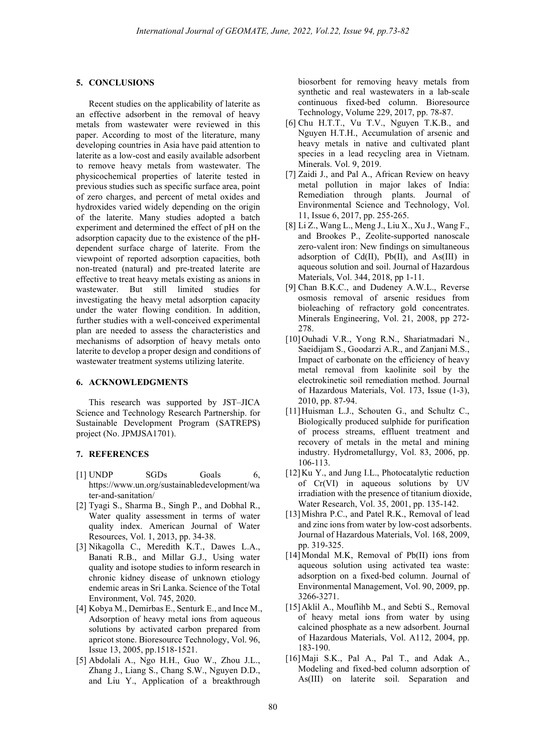#### 5. CONCLUSIONS

Recent studies on the applicability of laterite as an effective adsorbent in the removal of heavy metals from wastewater were reviewed in this paper. According to most of the literature, many developing countries in Asia have paid attention to laterite as a low-cost and easily available adsorbent to remove heavy metals from wastewater. The physicochemical properties of laterite tested in previous studies such as specific surface area, point of zero charges, and percent of metal oxides and hydroxides varied widely depending on the origin of the laterite. Many studies adopted a batch experiment and determined the effect of pH on the adsorption capacity due to the existence of the pHdependent surface charge of laterite. From the viewpoint of reported adsorption capacities, both non-treated (natural) and pre-treated laterite are effective to treat heavy metals existing as anions in wastewater. But still limited studies for investigating the heavy metal adsorption capacity under the water flowing condition. In addition, further studies with a well-conceived experimental plan are needed to assess the characteristics and mechanisms of adsorption of heavy metals onto laterite to develop a proper design and conditions of wastewater treatment systems utilizing laterite.

#### 6. ACKNOWLEDGMENTS

This research was supported by JST–JICA Science and Technology Research Partnership. for Sustainable Development Program (SATREPS) project (No. JPMJSA1701).

### 7. REFERENCES

- [1] UNDP SGDs Goals 6, https://www.un.org/sustainabledevelopment/wa ter-and-sanitation/
- [2] Tyagi S., Sharma B., Singh P., and Dobhal R., Water quality assessment in terms of water quality index. American Journal of Water Resources, Vol. 1, 2013, pp. 34-38.
- [3] Nikagolla C., Meredith K.T., Dawes L.A., Banati R.B., and Millar G.J., Using water quality and isotope studies to inform research in chronic kidney disease of unknown etiology endemic areas in Sri Lanka. Science of the Total Environment, Vol. 745, 2020.
- [4] Kobya M., Demirbas E., Senturk E., and Ince M., Adsorption of heavy metal ions from aqueous solutions by activated carbon prepared from apricot stone. Bioresource Technology, Vol. 96, Issue 13, 2005, pp.1518-1521.
- [5] Abdolali A., Ngo H.H., Guo W., Zhou J.L., Zhang J., Liang S., Chang S.W., Nguyen D.D., and Liu Y., Application of a breakthrough

biosorbent for removing heavy metals from synthetic and real wastewaters in a lab-scale continuous fixed-bed column. Bioresource Technology, Volume 229, 2017, pp. 78-87.

- [6] Chu H.T.T., Vu T.V., Nguyen T.K.B., and Nguyen H.T.H., Accumulation of arsenic and heavy metals in native and cultivated plant species in a lead recycling area in Vietnam. Minerals. Vol. 9, 2019.
- [7] Zaidi J., and Pal A., African Review on heavy metal pollution in major lakes of India: Remediation through plants. Journal of Environmental Science and Technology, Vol. 11, Issue 6, 2017, pp. 255-265.
- [8] Li Z., Wang L., Meng J., Liu X., Xu J., Wang F., and Brookes P., Zeolite-supported nanoscale zero-valent iron: New findings on simultaneous adsorption of Cd(II), Pb(II), and As(III) in aqueous solution and soil. Journal of Hazardous Materials, Vol. 344, 2018, pp 1-11.
- [9] Chan B.K.C., and Dudeney A.W.L., Reverse osmosis removal of arsenic residues from bioleaching of refractory gold concentrates. Minerals Engineering, Vol. 21, 2008, pp 272- 278.
- [10]Ouhadi V.R., Yong R.N., Shariatmadari N., Saeidijam S., Goodarzi A.R., and Zanjani M.S., Impact of carbonate on the efficiency of heavy metal removal from kaolinite soil by the electrokinetic soil remediation method. Journal of Hazardous Materials, Vol. 173, Issue (1-3), 2010, pp. 87-94.
- [11]Huisman L.J., Schouten G., and Schultz C., Biologically produced sulphide for purification of process streams, effluent treatment and recovery of metals in the metal and mining industry. Hydrometallurgy, Vol. 83, 2006, pp. 106-113.
- [12] Ku Y., and Jung I.L., Photocatalytic reduction of Cr(VI) in aqueous solutions by UV irradiation with the presence of titanium dioxide, Water Research, Vol. 35, 2001, pp. 135-142.
- [13]Mishra P.C., and Patel R.K., Removal of lead and zinc ions from water by low-cost adsorbents. Journal of Hazardous Materials, Vol. 168, 2009, pp. 319-325.
- [14]Mondal M.K. Removal of Pb(II) ions from aqueous solution using activated tea waste: adsorption on a fixed-bed column. Journal of Environmental Management, Vol. 90, 2009, pp. 3266-3271.
- [15] Aklil A., Mouflihb M., and Sebti S., Removal of heavy metal ions from water by using calcined phosphate as a new adsorbent. Journal of Hazardous Materials, Vol. A112, 2004, pp. 183-190.
- [16] Maji S.K., Pal A., Pal T., and Adak A., Modeling and fixed-bed column adsorption of As(III) on laterite soil. Separation and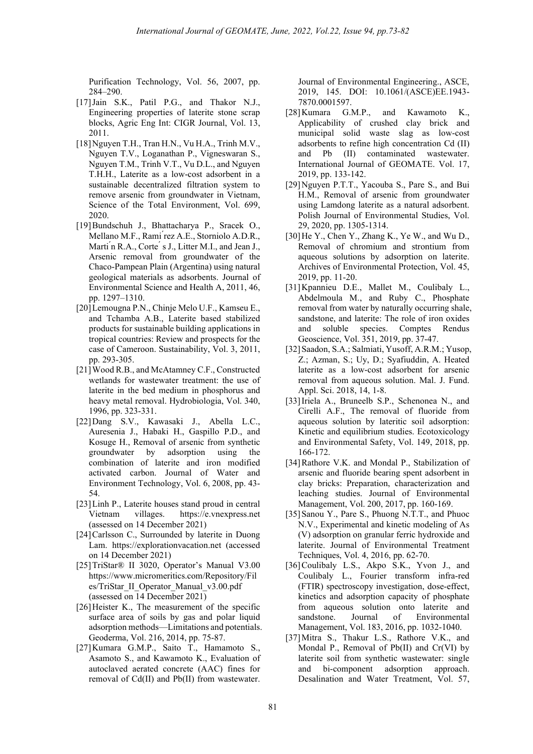Purification Technology, Vol. 56, 2007, pp. 284–290.

- [17]Jain S.K., Patil P.G., and Thakor N.J., Engineering properties of laterite stone scrap blocks, Agric Eng Int: CIGR Journal, Vol. 13, 2011.
- [18]Nguyen T.H., Tran H.N., Vu H.A., Trinh M.V., Nguyen T.V., Loganathan P., Vigneswaran S., Nguyen T.M., Trinh V.T., Vu D.L., and Nguyen T.H.H., Laterite as a low-cost adsorbent in a sustainable decentralized filtration system to remove arsenic from groundwater in Vietnam, Science of the Total Environment, Vol. 699, 2020.
- [19]Bundschuh J., Bhattacharya P., Sracek O., Mellano M.F., Rami ́rez A.E., Storniolo A.D.R., Marti n R.A., Corte s J., Litter M.I., and Jean J., Arsenic removal from groundwater of the Chaco-Pampean Plain (Argentina) using natural geological materials as adsorbents. Journal of Environmental Science and Health A, 2011, 46, pp. 1297–1310.
- [20]Lemougna P.N., Chinje Melo U.F., Kamseu E., and Tchamba A.B., Laterite based stabilized products for sustainable building applications in tropical countries: Review and prospects for the case of Cameroon. Sustainability, Vol. 3, 2011, pp. 293-305.
- [21]Wood R.B., and McAtamney C.F., Constructed wetlands for wastewater treatment: the use of laterite in the bed medium in phosphorus and heavy metal removal. Hydrobiologia, Vol. 340, 1996, pp. 323-331.
- [22]Dang S.V., Kawasaki J., Abella L.C., Auresenia J., Habaki H., Gaspillo P.D., and Kosuge H., Removal of arsenic from synthetic groundwater by adsorption using the combination of laterite and iron modified activated carbon. Journal of Water and Environment Technology, Vol. 6, 2008, pp. 43- 54.
- [23]Linh P., Laterite houses stand proud in central Vietnam villages. https://e.vnexpress.net (assessed on 14 December 2021)
- [24] Carlsson C., Surrounded by laterite in Duong Lam. https://explorationvacation.net (accessed on 14 December 2021)
- [25]TriStar® II 3020, Operator's Manual V3.00 https://www.micromeritics.com/Repository/Fil es/TriStar\_II\_Operator\_Manual\_v3.00.pdf (assessed on 14 December 2021)
- [26] Heister K., The measurement of the specific surface area of soils by gas and polar liquid adsorption methods—Limitations and potentials. Geoderma, Vol. 216, 2014, pp. 75-87.
- [27]Kumara G.M.P., Saito T., Hamamoto S., Asamoto S., and Kawamoto K., Evaluation of autoclaved aerated concrete (AAC) fines for removal of Cd(II) and Pb(II) from wastewater.

Journal of Environmental Engineering., ASCE, 2019, 145. DOI: 10.1061/(ASCE)EE.1943- 7870.0001597.

- [28]Kumara G.M.P., and Kawamoto K., Applicability of crushed clay brick and municipal solid waste slag as low-cost adsorbents to refine high concentration Cd (II) and Pb (II) contaminated wastewater. International Journal of GEOMATE. Vol. 17, 2019, pp. 133-142.
- [29]Nguyen P.T.T., Yacouba S., Pare S., and Bui H.M., Removal of arsenic from groundwater using Lamdong laterite as a natural adsorbent. Polish Journal of Environmental Studies, Vol. 29, 2020, pp. 1305-1314.
- [30]He Y., Chen Y., Zhang K., Ye W., and Wu D., Removal of chromium and strontium from aqueous solutions by adsorption on laterite. Archives of Environmental Protection, Vol. 45, 2019, pp. 11-20.
- [31]Kpannieu D.E., Mallet M., Coulibaly L., Abdelmoula M., and Ruby C., Phosphate removal from water by naturally occurring shale, sandstone, and laterite: The role of iron oxides and soluble species. Comptes Rendus Geoscience, Vol. 351, 2019, pp. 37-47.
- [32]Saadon, S.A.; Salmiati, Yusoff, A.R.M.; Yusop, Z.; Azman, S.; Uy, D.; Syafiuddin, A. Heated laterite as a low-cost adsorbent for arsenic removal from aqueous solution. Mal. J. Fund. Appl. Sci. 2018, 14, 1-8.
- [33]Iriela A., Bruneelb S.P., Schenonea N., and Cirelli A.F., The removal of fluoride from aqueous solution by lateritic soil adsorption: Kinetic and equilibrium studies. Ecotoxicology and Environmental Safety, Vol. 149, 2018, pp. 166-172.
- [34]Rathore V.K. and Mondal P., Stabilization of arsenic and fluoride bearing spent adsorbent in clay bricks: Preparation, characterization and leaching studies. Journal of Environmental Management, Vol. 200, 2017, pp. 160-169.
- [35] Sanou Y., Pare S., Phuong N.T.T., and Phuoc N.V., Experimental and kinetic modeling of As (V) adsorption on granular ferric hydroxide and laterite. Journal of Environmental Treatment Techniques, Vol. 4, 2016, pp. 62-70.
- [36]Coulibaly L.S., Akpo S.K., Yvon J., and Coulibaly L., Fourier transform infra-red (FTIR) spectroscopy investigation, dose-effect, kinetics and adsorption capacity of phosphate from aqueous solution onto laterite and sandstone. Journal of Environmental Management, Vol. 183, 2016, pp. 1032-1040.
- [37]Mitra S., Thakur L.S., Rathore V.K., and Mondal P., Removal of Pb(II) and Cr(VI) by laterite soil from synthetic wastewater: single and bi-component adsorption approach. Desalination and Water Treatment, Vol. 57,